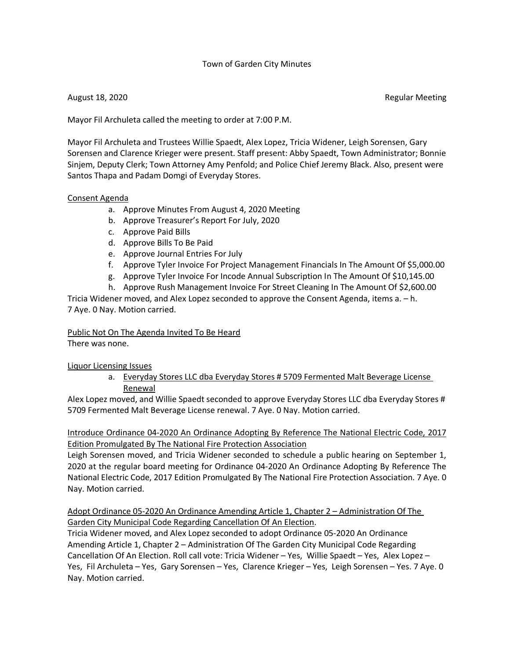## Town of Garden City Minutes

August 18, 2020 **Regular Meeting** 

Mayor Fil Archuleta called the meeting to order at 7:00 P.M.

Mayor Fil Archuleta and Trustees Willie Spaedt, Alex Lopez, Tricia Widener, Leigh Sorensen, Gary Sorensen and Clarence Krieger were present. Staff present: Abby Spaedt, Town Administrator; Bonnie Sinjem, Deputy Clerk; Town Attorney Amy Penfold; and Police Chief Jeremy Black. Also, present were Santos Thapa and Padam Domgi of Everyday Stores.

#### Consent Agenda

- a. Approve Minutes From August 4, 2020 Meeting
- b. Approve Treasurer's Report For July, 2020
- c. Approve Paid Bills
- d. Approve Bills To Be Paid
- e. Approve Journal Entries For July
- f. Approve Tyler Invoice For Project Management Financials In The Amount Of \$5,000.00
- g. Approve Tyler Invoice For Incode Annual Subscription In The Amount Of \$10,145.00
- h. Approve Rush Management Invoice For Street Cleaning In The Amount Of \$2,600.00

Tricia Widener moved, and Alex Lopez seconded to approve the Consent Agenda, items a. – h. 7 Aye. 0 Nay. Motion carried.

#### Public Not On The Agenda Invited To Be Heard

There was none.

#### Liquor Licensing Issues

a. Everyday Stores LLC dba Everyday Stores # 5709 Fermented Malt Beverage License Renewal

Alex Lopez moved, and Willie Spaedt seconded to approve Everyday Stores LLC dba Everyday Stores # 5709 Fermented Malt Beverage License renewal. 7 Aye. 0 Nay. Motion carried.

Introduce Ordinance 04-2020 An Ordinance Adopting By Reference The National Electric Code, 2017 Edition Promulgated By The National Fire Protection Association

Leigh Sorensen moved, and Tricia Widener seconded to schedule a public hearing on September 1, 2020 at the regular board meeting for Ordinance 04-2020 An Ordinance Adopting By Reference The National Electric Code, 2017 Edition Promulgated By The National Fire Protection Association. 7 Aye. 0 Nay. Motion carried.

Adopt Ordinance 05-2020 An Ordinance Amending Article 1, Chapter 2 – Administration Of The Garden City Municipal Code Regarding Cancellation Of An Election.

Tricia Widener moved, and Alex Lopez seconded to adopt Ordinance 05-2020 An Ordinance Amending Article 1, Chapter 2 – Administration Of The Garden City Municipal Code Regarding Cancellation Of An Election. Roll call vote: Tricia Widener – Yes, Willie Spaedt – Yes, Alex Lopez – Yes, Fil Archuleta – Yes, Gary Sorensen – Yes, Clarence Krieger – Yes, Leigh Sorensen – Yes. 7 Aye. 0 Nay. Motion carried.